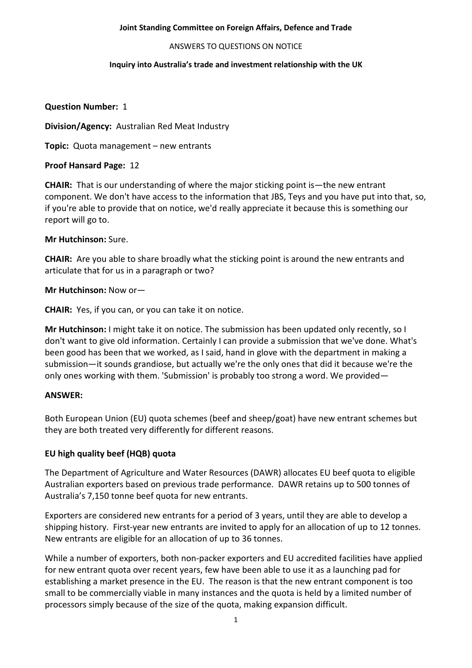#### ANSWERS TO QUESTIONS ON NOTICE

#### **Inquiry into Australia's trade and investment relationship with the UK**

## **Question Number:** 1

**Division/Agency:** Australian Red Meat Industry

**Topic:** Quota management – new entrants

# **Proof Hansard Page:** 12

**CHAIR:** That is our understanding of where the major sticking point is—the new entrant component. We don't have access to the information that JBS, Teys and you have put into that, so, if you're able to provide that on notice, we'd really appreciate it because this is something our report will go to.

## **Mr Hutchinson:** Sure.

**CHAIR:** Are you able to share broadly what the sticking point is around the new entrants and articulate that for us in a paragraph or two?

# **Mr Hutchinson:** Now or—

**CHAIR:** Yes, if you can, or you can take it on notice.

**Mr Hutchinson:** I might take it on notice. The submission has been updated only recently, so I don't want to give old information. Certainly I can provide a submission that we've done. What's been good has been that we worked, as I said, hand in glove with the department in making a submission—it sounds grandiose, but actually we're the only ones that did it because we're the only ones working with them. 'Submission' is probably too strong a word. We provided—

## **ANSWER:**

Both European Union (EU) quota schemes (beef and sheep/goat) have new entrant schemes but they are both treated very differently for different reasons.

# **EU high quality beef (HQB) quota**

The Department of Agriculture and Water Resources (DAWR) allocates EU beef quota to eligible Australian exporters based on previous trade performance. DAWR retains up to 500 tonnes of Australia's 7,150 tonne beef quota for new entrants.

Exporters are considered new entrants for a period of 3 years, until they are able to develop a shipping history. First-year new entrants are invited to apply for an allocation of up to 12 tonnes. New entrants are eligible for an allocation of up to 36 tonnes.

While a number of exporters, both non-packer exporters and EU accredited facilities have applied for new entrant quota over recent years, few have been able to use it as a launching pad for establishing a market presence in the EU. The reason is that the new entrant component is too small to be commercially viable in many instances and the quota is held by a limited number of processors simply because of the size of the quota, making expansion difficult.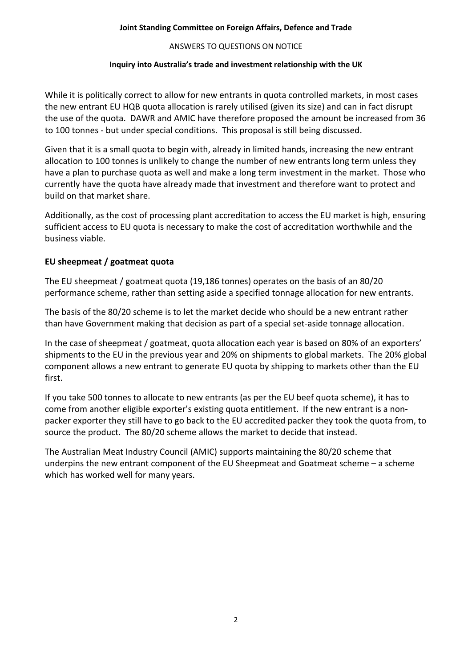## ANSWERS TO QUESTIONS ON NOTICE

# **Inquiry into Australia's trade and investment relationship with the UK**

While it is politically correct to allow for new entrants in quota controlled markets, in most cases the new entrant EU HQB quota allocation is rarely utilised (given its size) and can in fact disrupt the use of the quota. DAWR and AMIC have therefore proposed the amount be increased from 36 to 100 tonnes - but under special conditions. This proposal is still being discussed.

Given that it is a small quota to begin with, already in limited hands, increasing the new entrant allocation to 100 tonnes is unlikely to change the number of new entrants long term unless they have a plan to purchase quota as well and make a long term investment in the market. Those who currently have the quota have already made that investment and therefore want to protect and build on that market share.

Additionally, as the cost of processing plant accreditation to access the EU market is high, ensuring sufficient access to EU quota is necessary to make the cost of accreditation worthwhile and the business viable.

# **EU sheepmeat / goatmeat quota**

The EU sheepmeat / goatmeat quota (19,186 tonnes) operates on the basis of an 80/20 performance scheme, rather than setting aside a specified tonnage allocation for new entrants.

The basis of the 80/20 scheme is to let the market decide who should be a new entrant rather than have Government making that decision as part of a special set-aside tonnage allocation.

In the case of sheepmeat / goatmeat, quota allocation each year is based on 80% of an exporters' shipments to the EU in the previous year and 20% on shipments to global markets. The 20% global component allows a new entrant to generate EU quota by shipping to markets other than the EU first.

If you take 500 tonnes to allocate to new entrants (as per the EU beef quota scheme), it has to come from another eligible exporter's existing quota entitlement. If the new entrant is a nonpacker exporter they still have to go back to the EU accredited packer they took the quota from, to source the product. The 80/20 scheme allows the market to decide that instead.

The Australian Meat Industry Council (AMIC) supports maintaining the 80/20 scheme that underpins the new entrant component of the EU Sheepmeat and Goatmeat scheme – a scheme which has worked well for many years.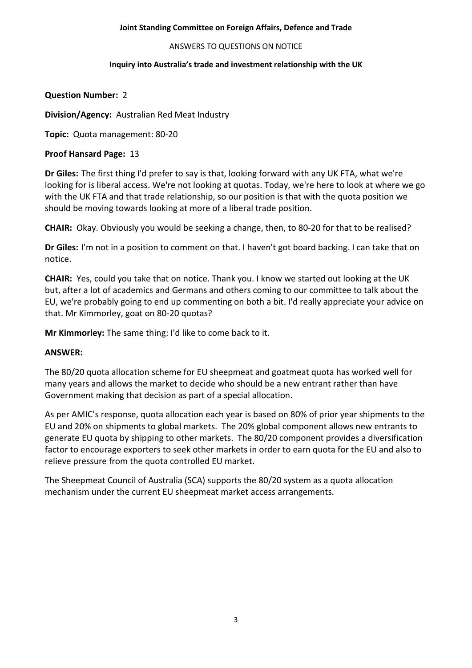#### ANSWERS TO QUESTIONS ON NOTICE

#### **Inquiry into Australia's trade and investment relationship with the UK**

# **Question Number:** 2

**Division/Agency:** Australian Red Meat Industry

**Topic:** Quota management: 80-20

# **Proof Hansard Page:** 13

**Dr Giles:** The first thing I'd prefer to say is that, looking forward with any UK FTA, what we're looking for is liberal access. We're not looking at quotas. Today, we're here to look at where we go with the UK FTA and that trade relationship, so our position is that with the quota position we should be moving towards looking at more of a liberal trade position.

**CHAIR:** Okay. Obviously you would be seeking a change, then, to 80-20 for that to be realised?

**Dr Giles:** I'm not in a position to comment on that. I haven't got board backing. I can take that on notice.

**CHAIR:** Yes, could you take that on notice. Thank you. I know we started out looking at the UK but, after a lot of academics and Germans and others coming to our committee to talk about the EU, we're probably going to end up commenting on both a bit. I'd really appreciate your advice on that. Mr Kimmorley, goat on 80-20 quotas?

**Mr Kimmorley:** The same thing: I'd like to come back to it.

## **ANSWER:**

The 80/20 quota allocation scheme for EU sheepmeat and goatmeat quota has worked well for many years and allows the market to decide who should be a new entrant rather than have Government making that decision as part of a special allocation.

As per AMIC's response, quota allocation each year is based on 80% of prior year shipments to the EU and 20% on shipments to global markets. The 20% global component allows new entrants to generate EU quota by shipping to other markets. The 80/20 component provides a diversification factor to encourage exporters to seek other markets in order to earn quota for the EU and also to relieve pressure from the quota controlled EU market.

The Sheepmeat Council of Australia (SCA) supports the 80/20 system as a quota allocation mechanism under the current EU sheepmeat market access arrangements.